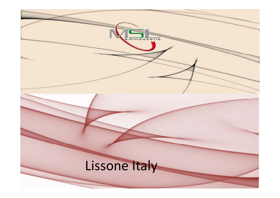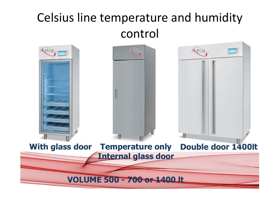## Celsius line temperature and humiditycontrol

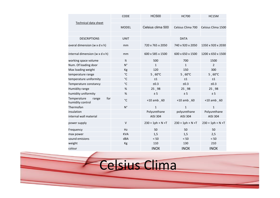|                                                 | <b>CODE</b>  | <b>HC500</b>        | <b>HC700</b>        | HC15M               |  |
|-------------------------------------------------|--------------|---------------------|---------------------|---------------------|--|
| Technical data sheet                            |              |                     |                     |                     |  |
|                                                 | <b>MODEL</b> | Celsius clima 500   | Celsius Clima 700   | Celsius Clima 1500  |  |
|                                                 |              |                     |                     |                     |  |
| <b>DESCRIPTIONS</b>                             | <b>UNIT</b>  | <b>DATA</b>         |                     |                     |  |
| overal dimension (w x d x h)                    | mm           | 720 x 765 x 2050    | 740 x 920 x 2050    | 1350 x 920 x 2030   |  |
| internal dimension (w x d x h)                  | mm           | 600 x 585 x 1500    | 600 x 650 x 1500    | 1200 x 650 x 1500   |  |
| working space volume                            | It           | 500                 | 700                 | 1500                |  |
| Num. Of loading door                            | $N^{\circ}$  | $\mathbf{1}$        | $\mathbf{1}$        | $\overline{2}$      |  |
| Max loading weight                              | Kg           | 120                 | 150                 | 300                 |  |
| temperature range                               | $^{\circ}$ C | $5,60^{\circ}$ C    | $5,60^{\circ}$ C    | $5,60^{\circ}$ C    |  |
| temperature uniformity                          | $^{\circ}$ C | ±1                  | ±1                  | ±1                  |  |
| Temperature constancy                           | $^{\circ}$ C | ±0.3                | ±0.3                | ±0.3                |  |
| Humidity range                                  | $\%$         | 25,98               | 25,98               | 25,98               |  |
| humidity uniformity                             | $\%$         | ± 5                 | ± 5                 | ± 5                 |  |
| for<br>Temperature<br>range<br>humidity control | $^{\circ}$ C | $+10$ amb $, 60$    | $+10$ amb $, 60$    | $+10$ amb, 60       |  |
| Thermofan                                       | $N^{\circ}$  | $\mathbf{1}$        | $\mathbf{1}$        | $\mathbf{1}$        |  |
| insulation                                      |              | Polyurethane        | polyurethane        | Polyurethane        |  |
| internal wall material                          |              | <b>AISI 304</b>     | AISI 304            | AISI 304            |  |
| power supply                                    | $\vee$       | $230 + 1ph + N + T$ | $230 + 1ph + N + T$ | $230 + 1ph + N + T$ |  |
| Frequency                                       | <b>Hz</b>    | 50                  | 50                  | 50                  |  |
| max power                                       | <b>KVA</b>   | 1,5                 | 1,5                 | 2,5                 |  |
| sound emisions                                  | dBA          | < 50                | < 50                | < 50                |  |
| weight                                          | Kg           | 110                 | 130                 | 210                 |  |
| colour                                          |              | <b>INOX</b>         | <b>INOX</b>         | <b>INOX</b>         |  |

Celsius Clima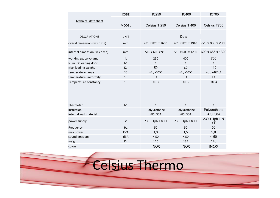| Technical data sheet<br>Celsius T 250<br>Celsius T 400<br>Celsius T700<br><b>MODEL</b><br>Data<br><b>DESCRIPTIONS</b><br><b>UNIT</b><br>720 x 860 x 2050<br>overal dimension (w x d x h)<br>620 x 825 x 1600<br>670 x 825 x 1940<br>mm<br>600 x 686 x 1320<br>internal dimension (w x d x h)<br>510 x 600 x 915<br>510 x 600 x 1250<br>mm<br>700<br>working space volume<br>It<br>250<br>400<br>$N^{\circ}$<br>1<br>Num. Of loading door<br>$\mathbf{1}$<br>$\mathbf{1}$<br>110<br>50<br>Max loading weight<br>80<br>Kg<br>$-5$ $-40^{\circ}$ C<br>$^{\circ}$ C<br>$-5$ $-40^{\circ}$ C<br>$-5$ $-40^{\circ}$ C<br>temperature range<br>temperature uniformity<br>°C<br>±1<br>±1<br>±1<br>±0.3<br>$^{\circ}$ C<br>±0.3<br>Temperature constancy<br>±0.3 |  |
|---------------------------------------------------------------------------------------------------------------------------------------------------------------------------------------------------------------------------------------------------------------------------------------------------------------------------------------------------------------------------------------------------------------------------------------------------------------------------------------------------------------------------------------------------------------------------------------------------------------------------------------------------------------------------------------------------------------------------------------------------------|--|
|                                                                                                                                                                                                                                                                                                                                                                                                                                                                                                                                                                                                                                                                                                                                                         |  |
|                                                                                                                                                                                                                                                                                                                                                                                                                                                                                                                                                                                                                                                                                                                                                         |  |
|                                                                                                                                                                                                                                                                                                                                                                                                                                                                                                                                                                                                                                                                                                                                                         |  |
|                                                                                                                                                                                                                                                                                                                                                                                                                                                                                                                                                                                                                                                                                                                                                         |  |
|                                                                                                                                                                                                                                                                                                                                                                                                                                                                                                                                                                                                                                                                                                                                                         |  |
|                                                                                                                                                                                                                                                                                                                                                                                                                                                                                                                                                                                                                                                                                                                                                         |  |
|                                                                                                                                                                                                                                                                                                                                                                                                                                                                                                                                                                                                                                                                                                                                                         |  |
|                                                                                                                                                                                                                                                                                                                                                                                                                                                                                                                                                                                                                                                                                                                                                         |  |
|                                                                                                                                                                                                                                                                                                                                                                                                                                                                                                                                                                                                                                                                                                                                                         |  |
|                                                                                                                                                                                                                                                                                                                                                                                                                                                                                                                                                                                                                                                                                                                                                         |  |
|                                                                                                                                                                                                                                                                                                                                                                                                                                                                                                                                                                                                                                                                                                                                                         |  |
|                                                                                                                                                                                                                                                                                                                                                                                                                                                                                                                                                                                                                                                                                                                                                         |  |
|                                                                                                                                                                                                                                                                                                                                                                                                                                                                                                                                                                                                                                                                                                                                                         |  |
|                                                                                                                                                                                                                                                                                                                                                                                                                                                                                                                                                                                                                                                                                                                                                         |  |
|                                                                                                                                                                                                                                                                                                                                                                                                                                                                                                                                                                                                                                                                                                                                                         |  |
| Thermofan<br>$N^{\circ}$<br>1<br>$\mathbf{1}$<br>$\mathbf{1}$                                                                                                                                                                                                                                                                                                                                                                                                                                                                                                                                                                                                                                                                                           |  |
| Polyurethane<br>Polyurethane<br>Polyurethane<br>insulation                                                                                                                                                                                                                                                                                                                                                                                                                                                                                                                                                                                                                                                                                              |  |
| <b>AISI 304</b><br>internal wall material<br><b>AISI 304</b><br>AISI 304                                                                                                                                                                                                                                                                                                                                                                                                                                                                                                                                                                                                                                                                                |  |
| $230 + 1ph + N$<br>$\vee$<br>$230 + 1ph + N + T$<br>$230 + 1ph + N + T$<br>power supply<br>+T                                                                                                                                                                                                                                                                                                                                                                                                                                                                                                                                                                                                                                                           |  |
| 50<br>Hz<br>50<br>50<br>Frequency                                                                                                                                                                                                                                                                                                                                                                                                                                                                                                                                                                                                                                                                                                                       |  |
| 2,0<br><b>KVA</b><br>1,3<br>1,5<br>max power                                                                                                                                                                                                                                                                                                                                                                                                                                                                                                                                                                                                                                                                                                            |  |
| dBA<br>< 50<br>sound emisions<br>$< 50$<br>< 50                                                                                                                                                                                                                                                                                                                                                                                                                                                                                                                                                                                                                                                                                                         |  |
| 145<br>120<br>135<br>weight<br>Kg                                                                                                                                                                                                                                                                                                                                                                                                                                                                                                                                                                                                                                                                                                                       |  |
| <b>INOX</b><br><b>INOX</b><br>colour<br><b>INOX</b>                                                                                                                                                                                                                                                                                                                                                                                                                                                                                                                                                                                                                                                                                                     |  |